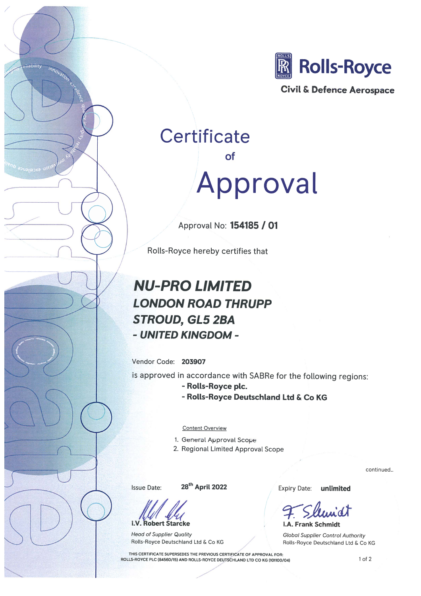

Civil & Defence Aerospace

# **Certificate**  $\Omega$ Approval

Approval No: 154185 / 01

Rolls-Royce hereby certifies that

## **NU-PRO LIMITED LONDON ROAD THRUPP STROUD, GL5 2BA** - UNITED KINGDOM -

Vendor Code: 203907

bility

innoval

is approved in accordance with SABRe for the following regions:

- Rolls-Royce plc.
- Rolls-Royce Deutschland Ltd & Co KG

**Content Overview** 

- 1. General Approval Scope
- 2. Regional Limited Approval Scope

Issue Date:

28<sup>th</sup> April 2022

**i.V. Robert Starcke** 

**Head of Supplier Quality** Rolls-Royce Deutschland Ltd & Co KG

**Expiry Date:** unlimited

**i.A. Frank Schmidt Global Supplier Control Authority** Rolls-Royce Deutschland Ltd & Co KG

THIS CERTIFICATE SUPERSEDES THE PREVIOUS CERTIFICATE OF APPROVAL FOR: ROLLS-ROYCE PLC (84560/15) AND ROLLS-ROYCE DEUTSCHLAND LTD CO KG (101100/04)

 $1$  of  $2$ 

continued...